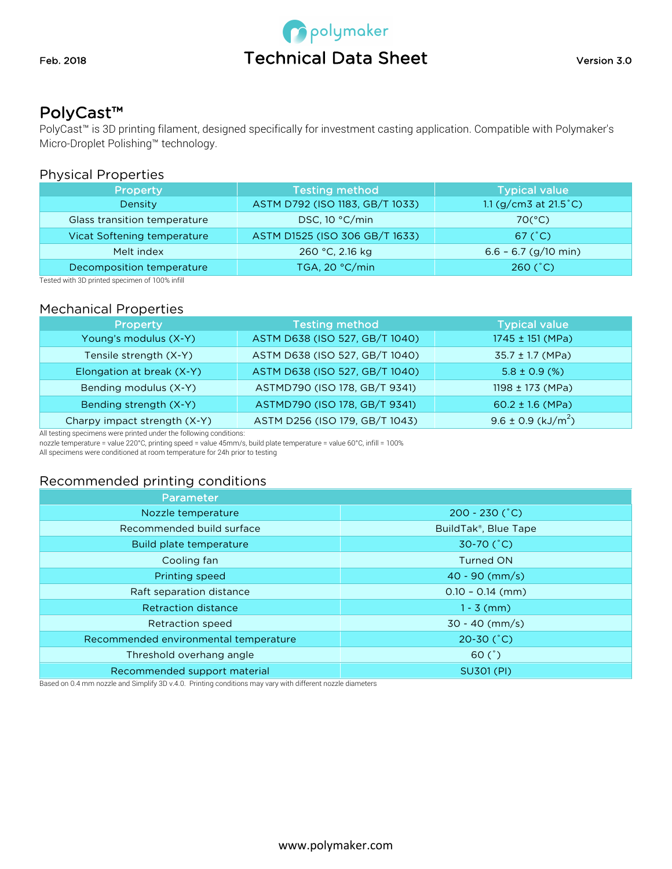

# PolyCast™

PolyCast<sup>™</sup> is 3D printing filament, designed specifically for investment casting application. Compatible with Polymaker's Micro-Droplet Polishing™ technology.

# Physical Properties

| Property                     | <b>Testing method</b>           | <b>Typical value</b>       |
|------------------------------|---------------------------------|----------------------------|
| Density                      | ASTM D792 (ISO 1183, GB/T 1033) | 1.1 $(g/cm3$ at 21.5 $°C)$ |
| Glass transition temperature | DSC, $10 °C/min$                | $70(^{\circ}C)$            |
| Vicat Softening temperature  | ASTM D1525 (ISO 306 GB/T 1633)  | 67 $(^{\circ}C)$           |
| Melt index                   | 260 °C, 2.16 kg                 | $6.6 - 6.7$ (g/10 min)     |
| Decomposition temperature    | TGA, 20 °C/min                  | $260 (^{\circ}C)$          |

Tested with 3D printed specimen of 100% infill

### Mechanical Properties

| <b>Property</b>              | <b>Testing method</b>          | <b>Typical value</b>               |
|------------------------------|--------------------------------|------------------------------------|
| Young's modulus (X-Y)        | ASTM D638 (ISO 527, GB/T 1040) | $1745 \pm 151$ (MPa)               |
| Tensile strength (X-Y)       | ASTM D638 (ISO 527, GB/T 1040) | $35.7 \pm 1.7$ (MPa)               |
| Elongation at break (X-Y)    | ASTM D638 (ISO 527, GB/T 1040) | $5.8 \pm 0.9$ (%)                  |
| Bending modulus (X-Y)        | ASTMD790 (ISO 178, GB/T 9341)  | $1198 \pm 173$ (MPa)               |
| Bending strength (X-Y)       | ASTMD790 (ISO 178, GB/T 9341)  | $60.2 \pm 1.6$ (MPa)               |
| Charpy impact strength (X-Y) | ASTM D256 (ISO 179, GB/T 1043) | $9.6 \pm 0.9$ (kJ/m <sup>2</sup> ) |

All testing specimens were printed under the following conditions:

nozzle temperature = value 220°C, printing speed = value 45mm/s, build plate temperature = value 60°C, infill = 100%

All specimens were conditioned at room temperature for 24h prior to testing

# Recommended printing conditions

| Parameter                             |                             |
|---------------------------------------|-----------------------------|
| Nozzle temperature                    | $200 - 230$ ( $^{\circ}$ C) |
| Recommended build surface             | BuildTak®, Blue Tape        |
| Build plate temperature               | 30-70 (°C)                  |
| Cooling fan                           | <b>Turned ON</b>            |
| Printing speed                        | $40 - 90$ (mm/s)            |
| Raft separation distance              | $0.10 - 0.14$ (mm)          |
| <b>Retraction distance</b>            | $1 - 3$ (mm)                |
| <b>Retraction speed</b>               | $30 - 40$ (mm/s)            |
| Recommended environmental temperature | 20-30 $(^{\circ}C)$         |
| Threshold overhang angle              | 60 (°)                      |
| Recommended support material          | <b>SU301 (PI)</b>           |

Based on 0.4 mm nozzle and Simplify 3D v.4.0. Printing conditions may vary with different nozzle diameters